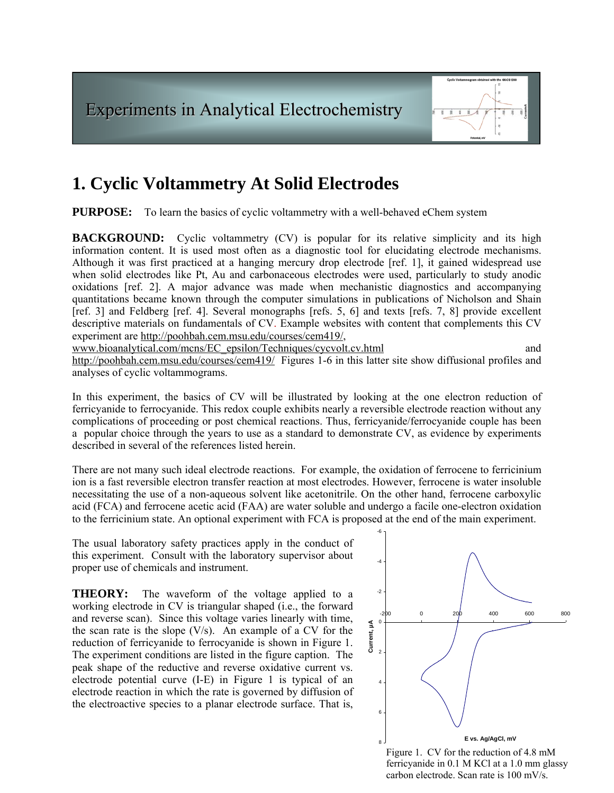

# **1. Cyclic Voltammetry At Solid Electrodes**

**PURPOSE:** To learn the basics of cyclic voltammetry with a well-behaved eChem system

**BACKGROUND:** Cyclic voltammetry (CV) is popular for its relative simplicity and its high information content. It is used most often as a diagnostic tool for elucidating electrode mechanisms. Although it was first practiced at a hanging mercury drop electrode [ref. 1], it gained widespread use when solid electrodes like Pt, Au and carbonaceous electrodes were used, particularly to study anodic oxidations [ref. 2]. A major advance was made when mechanistic diagnostics and accompanying quantitations became known through the computer simulations in publications of Nicholson and Shain [ref. 3] and Feldberg [ref. 4]. Several monographs [refs. 5, 6] and texts [refs. 7, 8] provide excellent descriptive materials on fundamentals of CV. Example websites with content that complements this CV experiment are<http://poohbah.cem.msu.edu/courses/cem419/>,

[www.bioanalytical.com/mcns/EC\\_epsilon/Techniques/cycvolt.cv.html](http://www.bioanalytical.com/mcns/EC_epsilon/Techniques/cycvolt.cv.html) and and

<http://poohbah.cem.msu.edu/courses/cem419/>Figures 1-6 in this latter site show diffusional profiles and analyses of cyclic voltammograms.

In this experiment, the basics of CV will be illustrated by looking at the one electron reduction of ferricyanide to ferrocyanide. This redox couple exhibits nearly a reversible electrode reaction without any complications of proceeding or post chemical reactions. Thus, ferricyanide/ferrocyanide couple has been a popular choice through the years to use as a standard to demonstrate CV, as evidence by experiments described in several of the references listed herein.

There are not many such ideal electrode reactions. For example, the oxidation of ferrocene to ferricinium ion is a fast reversible electron transfer reaction at most electrodes. However, ferrocene is water insoluble necessitating the use of a non-aqueous solvent like acetonitrile. On the other hand, ferrocene carboxylic acid (FCA) and ferrocene acetic acid (FAA) are water soluble and undergo a facile one-electron oxidation to the ferricinium state. An optional experiment with FCA is proposed at the end of the main experiment.

The usual laboratory safety practices apply in the conduct of this experiment. Consult with the laboratory supervisor about proper use of chemicals and instrument.

The waveform of the voltage applied to a **THEORY:** working electrode in CV is triangular shaped (i.e., the forward and reverse scan). Since this voltage varies linearly with time, the scan rate is the slope  $(V/s)$ . An example of a CV for the reduction of ferricyanide to ferrocyanide is shown in Figure 1. The experiment conditions are listed in the figure caption. The peak shape of the reductive and reverse oxidative current vs. electrode potential curve (I-E) in Figure 1 is typical of an electrode reaction in which the rate is governed by diffusion of the electroactive species to a planar electrode surface. That is,



carbon electrode. Scan rate is 100 mV/s.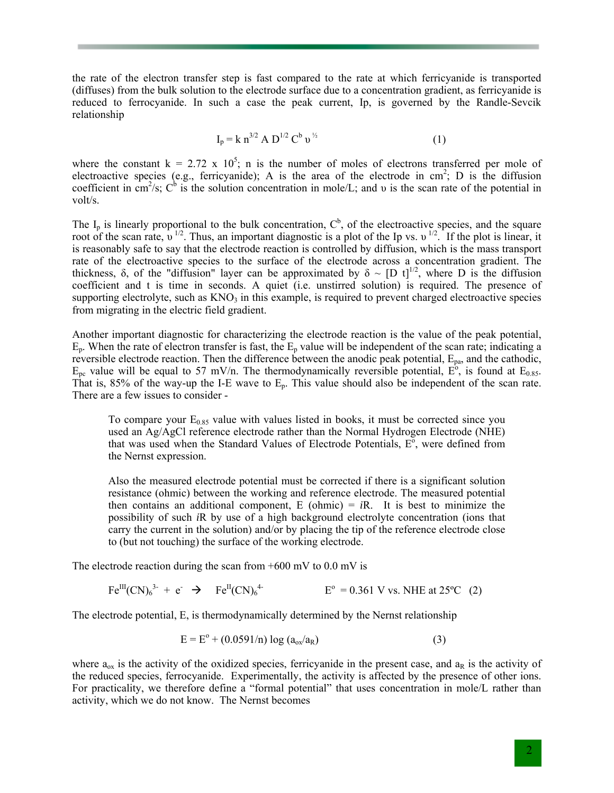the rate of the electron transfer step is fast compared to the rate at which ferricyanide is transported (diffuses) from the bulk solution to the electrode surface due to a concentration gradient, as ferricyanide is reduced to ferrocyanide. In such a case the peak current, Ip, is governed by the Randle-Sevcik relationship

$$
I_p = k n^{3/2} A D^{1/2} C^b v^{1/2}
$$
 (1)

where the constant  $k = 2.72 \times 10^5$ ; n is the number of moles of electrons transferred per mole of electroactive species (e.g., ferricyanide); A is the area of the electrode in  $\text{cm}^2$ ; D is the diffusion coefficient in cm<sup>2</sup>/s;  $C^b$  is the solution concentration in mole/L; and v is the scan rate of the potential in volt/s.

The  $I_p$  is linearly proportional to the bulk concentration,  $C^b$ , of the electroactive species, and the square root of the scan rate,  $v^{1/2}$ . Thus, an important diagnostic is a plot of the Ip vs.  $v^{1/2}$ . If the plot is linear, it is reasonably safe to say that the electrode reaction is controlled by diffusion, which is the mass transport rate of the electroactive species to the surface of the electrode across a concentration gradient. The thickness,  $\delta$ , of the "diffusion" layer can be approximated by  $\delta \sim [D \; t]^{1/2}$ , where D is the diffusion coefficient and t is time in seconds. A quiet (i.e. unstirred solution) is required. The presence of supporting electrolyte, such as  $KNO<sub>3</sub>$  in this example, is required to prevent charged electroactive species from migrating in the electric field gradient.

Another important diagnostic for characterizing the electrode reaction is the value of the peak potential,  $E_p$ . When the rate of electron transfer is fast, the  $E_p$  value will be independent of the scan rate; indicating a reversible electrode reaction. Then the difference between the anodic peak potential,  $E_{pa}$ , and the cathodic,  $E_{\text{pc}}$  value will be equal to 57 mV/n. The thermodynamically reversible potential,  $E^{\text{o}}$ , is found at  $E_{0.85}$ . That is, 85% of the way-up the I-E wave to Ep. This value should also be independent of the scan rate. There are a few issues to consider -

To compare your  $E_{0.85}$  value with values listed in books, it must be corrected since you used an Ag/AgCl reference electrode rather than the Normal Hydrogen Electrode (NHE) that was used when the Standard Values of Electrode Potentials,  $E^{\delta}$ , were defined from the Nernst expression.

Also the measured electrode potential must be corrected if there is a significant solution resistance (ohmic) between the working and reference electrode. The measured potential then contains an additional component,  $E$  (ohmic)  $= iR$ . It is best to minimize the possibility of such *i*R by use of a high background electrolyte concentration (ions that carry the current in the solution) and/or by placing the tip of the reference electrode close to (but not touching) the surface of the working electrode.

The electrode reaction during the scan from  $+600$  mV to  $0.0$  mV is

$$
Fe^{III}(CN)_6^{3-} + e^- \rightarrow Fe^{II}(CN)_6^{4-} \qquad \qquad E^{\circ} = 0.361 \text{ V vs. NHE at } 25^{\circ}\text{C} \tag{2}
$$

The electrode potential, E, is thermodynamically determined by the Nernst relationship

$$
E = E^{o} + (0.0591/n) \log (a_{ox}/a_{R})
$$
 (3)

where  $a_{ox}$  is the activity of the oxidized species, ferricyanide in the present case, and  $a_R$  is the activity of the reduced species, ferrocyanide. Experimentally, the activity is affected by the presence of other ions. For practicality, we therefore define a "formal potential" that uses concentration in mole/L rather than activity, which we do not know. The Nernst becomes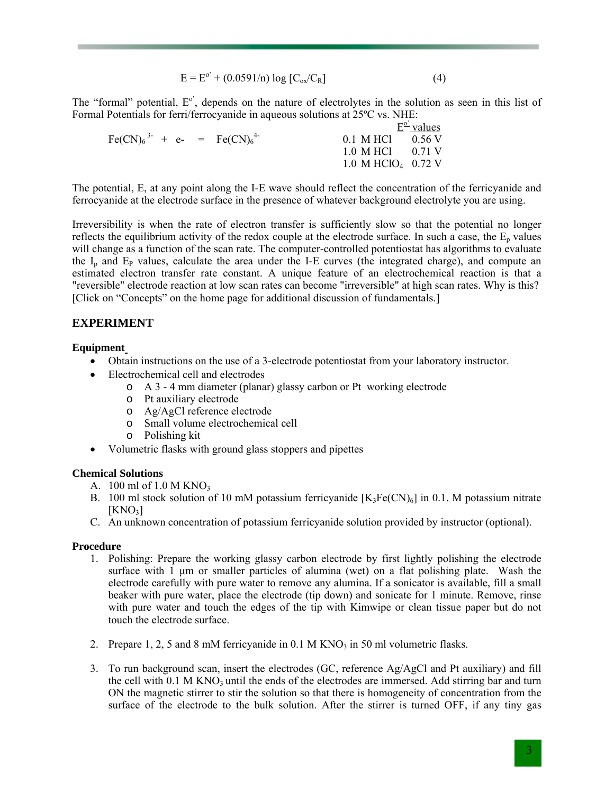$$
E = E^{o'} + (0.0591/n) \log [C_{ox}/C_R]
$$
 (4)

The "formal" potential,  $E^{\circ}$ , depends on the nature of electrolytes in the solution as seen in this list of Formal Potentials for ferri/ferrocyanide in aqueous solutions at 25ºC vs. NHE:

|  |                                                               | $E^{\underline{o}}$ values |
|--|---------------------------------------------------------------|----------------------------|
|  | $0.1$ M HCl $0.56$ V                                          |                            |
|  | $1.0 \text{ M HCl}$ $0.71 \text{ V}$                          |                            |
|  | 1.0 M HClO <sub>4</sub> 0.72 V                                |                            |
|  | $\text{Fe(CN)}_{6}^{3-} + \text{e-} = \text{Fe(CN)}_{6}^{4-}$ |                            |

The potential, E, at any point along the I-E wave should reflect the concentration of the ferricyanide and ferrocyanide at the electrode surface in the presence of whatever background electrolyte you are using.

Irreversibility is when the rate of electron transfer is sufficiently slow so that the potential no longer reflects the equilibrium activity of the redox couple at the electrode surface. In such a case, the  $E_p$  values will change as a function of the scan rate. The computer-controlled potentiostat has algorithms to evaluate the  $I_p$  and  $E_p$  values, calculate the area under the I-E curves (the integrated charge), and compute an estimated electron transfer rate constant. A unique feature of an electrochemical reaction is that a "reversible" electrode reaction at low scan rates can become "irreversible" at high scan rates. Why is this? [Click on "Concepts" on the home page for additional discussion of fundamentals.]

## **EXPERIMENT**

#### **Equipment**

- Obtain instructions on the use of a 3-electrode potentiostat from your laboratory instructor.
- Electrochemical cell and electrodes
	- o A 3 4 mm diameter (planar) glassy carbon or Pt working electrode
	- o Pt auxiliary electrode
	- o Ag/AgCl reference electrode
	- o Small volume electrochemical cell
	- o Polishing kit
- Volumetric flasks with ground glass stoppers and pipettes

## **Chemical Solutions**

- A.  $100$  ml of  $1.0$  M KNO<sub>3</sub>
- B. 100 ml stock solution of 10 mM potassium ferricyanide  $[K_3Fe(CN)_6]$  in 0.1. M potassium nitrate  $KNO<sub>3</sub>$ ]
- C. An unknown concentration of potassium ferricyanide solution provided by instructor (optional).

#### **Procedure**

- 1. Polishing: Prepare the working glassy carbon electrode by first lightly polishing the electrode surface with 1 μm or smaller particles of alumina (wet) on a flat polishing plate. Wash the electrode carefully with pure water to remove any alumina. If a sonicator is available, fill a small beaker with pure water, place the electrode (tip down) and sonicate for 1 minute. Remove, rinse with pure water and touch the edges of the tip with Kimwipe or clean tissue paper but do not touch the electrode surface.
- 2. Prepare 1, 2, 5 and 8 mM ferricyanide in 0.1 M  $KNO<sub>3</sub>$  in 50 ml volumetric flasks.
- 3. To run background scan, insert the electrodes (GC, reference Ag/AgCl and Pt auxiliary) and fill the cell with 0.1 M KNO<sub>3</sub> until the ends of the electrodes are immersed. Add stirring bar and turn ON the magnetic stirrer to stir the solution so that there is homogeneity of concentration from the surface of the electrode to the bulk solution. After the stirrer is turned OFF, if any tiny gas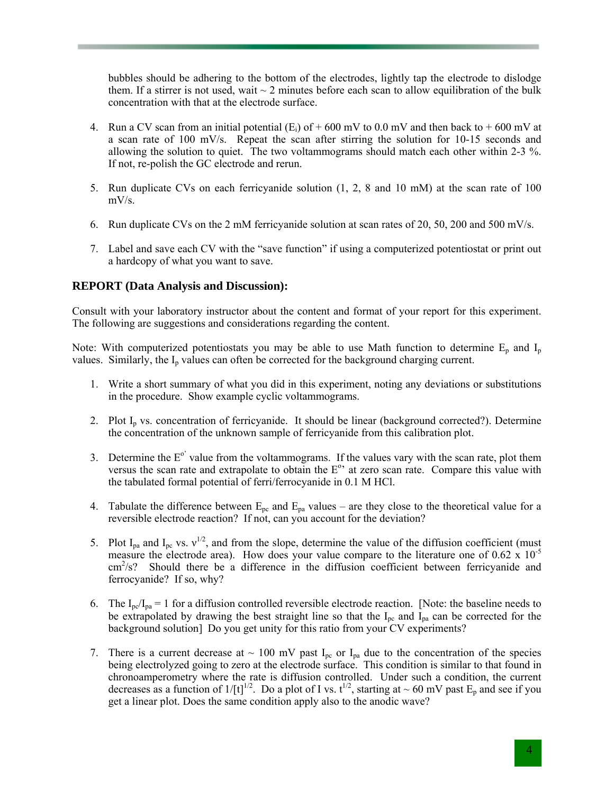bubbles should be adhering to the bottom of the electrodes, lightly tap the electrode to dislodge them. If a stirrer is not used, wait  $\sim$  2 minutes before each scan to allow equilibration of the bulk concentration with that at the electrode surface.

- 4. Run a CV scan from an initial potential  $(E_i)$  of  $+ 600$  mV to 0.0 mV and then back to  $+ 600$  mV at a scan rate of 100 mV/s. Repeat the scan after stirring the solution for 10-15 seconds and allowing the solution to quiet. The two voltammograms should match each other within 2-3 %. If not, re-polish the GC electrode and rerun.
- 5. Run duplicate CVs on each ferricyanide solution (1, 2, 8 and 10 mM) at the scan rate of 100  $mV/s$ .
- 6. Run duplicate CVs on the 2 mM ferricyanide solution at scan rates of 20, 50, 200 and 500 mV/s.
- 7. Label and save each CV with the "save function" if using a computerized potentiostat or print out a hardcopy of what you want to save.

## **REPORT (Data Analysis and Discussion):**

Consult with your laboratory instructor about the content and format of your report for this experiment. The following are suggestions and considerations regarding the content.

Note: With computerized potentiostats you may be able to use Math function to determine  $E_p$  and  $I_p$ values. Similarly, the  $I_p$  values can often be corrected for the background charging current.

- 1. Write a short summary of what you did in this experiment, noting any deviations or substitutions in the procedure. Show example cyclic voltammograms.
- 2. Plot  $I<sub>p</sub>$  vs. concentration of ferricyanide. It should be linear (background corrected?). Determine the concentration of the unknown sample of ferricyanide from this calibration plot.
- 3. Determine the  $E^{\circ}$  value from the voltammograms. If the values vary with the scan rate, plot them versus the scan rate and extrapolate to obtain the  $E<sup>o</sup>$  at zero scan rate. Compare this value with the tabulated formal potential of ferri/ferrocyanide in 0.1 M HCl.
- 4. Tabulate the difference between  $E_{pc}$  and  $E_{pa}$  values are they close to the theoretical value for a reversible electrode reaction? If not, can you account for the deviation?
- 5. Plot  $I_{pa}$  and  $I_{pc}$  vs.  $v^{1/2}$ , and from the slope, determine the value of the diffusion coefficient (must measure the electrode area). How does your value compare to the literature one of  $0.62 \times 10^{-5}$ cm<sup>2</sup>/s? Should there be a difference in the diffusion coefficient between ferricyanide and ferrocyanide? If so, why?
- 6. The  $I_{pc}/I_{pa} = 1$  for a diffusion controlled reversible electrode reaction. [Note: the baseline needs to be extrapolated by drawing the best straight line so that the  $I_{pc}$  and  $I_{pa}$  can be corrected for the background solution] Do you get unity for this ratio from your CV experiments?
- 7. There is a current decrease at  $\sim 100$  mV past I<sub>pc</sub> or I<sub>pa</sub> due to the concentration of the species being electrolyzed going to zero at the electrode surface. This condition is similar to that found in chronoamperometry where the rate is diffusion controlled. Under such a condition, the current decreases as a function of  $1/[t]^{1/2}$ . Do a plot of I vs.  $t^{1/2}$ , starting at ~ 60 mV past  $E_p$  and see if you get a linear plot. Does the same condition apply also to the anodic wave?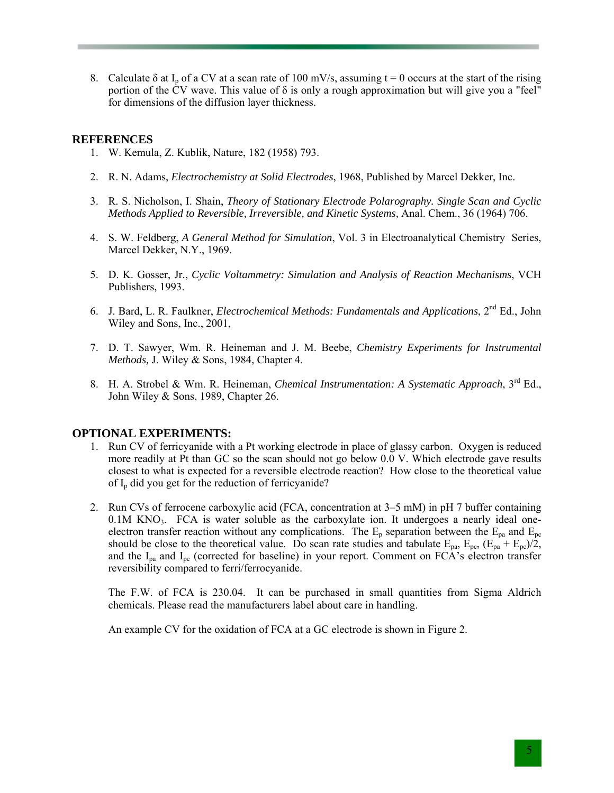8. Calculate  $\delta$  at I<sub>p</sub> of a CV at a scan rate of 100 mV/s, assuming t = 0 occurs at the start of the rising portion of the CV wave. This value of  $\delta$  is only a rough approximation but will give you a "feel" for dimensions of the diffusion layer thickness.

## **REFERENCES**

- 1. W. Kemula, Z. Kublik, Nature, 182 (1958) 793.
- 2. R. N. Adams, *Electrochemistry at Solid Electrodes*, 1968, Published by Marcel Dekker, Inc.
- 3. R. S. Nicholson, I. Shain, *Theory of Stationary Electrode Polarography. Single Scan and Cyclic Methods Applied to Reversible, Irreversible, and Kinetic Systems,* Anal. Chem., 36 (1964) 706.
- 4. S. W. Feldberg, *A General Method for Simulation*, Vol. 3 in Electroanalytical Chemistry Series, Marcel Dekker, N.Y., 1969.
- 5. D. K. Gosser, Jr., *Cyclic Voltammetry: Simulation and Analysis of Reaction Mechanisms*, VCH Publishers, 1993.
- 6. J. Bard, L. R. Faulkner, *Electrochemical Methods: Fundamentals and Applications*, 2nd Ed., John Wiley and Sons, Inc., 2001,
- 7. D. T. Sawyer, Wm. R. Heineman and J. M. Beebe, *Chemistry Experiments for Instrumental Methods,* J. Wiley & Sons, 1984, Chapter 4.
- 8. H. A. Strobel & Wm. R. Heineman, *Chemical Instrumentation: A Systematic Approach*, 3rd Ed., John Wiley & Sons, 1989, Chapter 26.

## **OPTIONAL EXPERIMENTS:**

- 1. Run CV of ferricyanide with a Pt working electrode in place of glassy carbon. Oxygen is reduced more readily at Pt than GC so the scan should not go below 0.0 V. Which electrode gave results closest to what is expected for a reversible electrode reaction? How close to the theoretical value of Ip did you get for the reduction of ferricyanide?
- 2. Run CVs of ferrocene carboxylic acid (FCA, concentration at 3–5 mM) in pH 7 buffer containing  $0.1M$  KNO<sub>3</sub>. FCA is water soluble as the carboxylate ion. It undergoes a nearly ideal oneelectron transfer reaction without any complications. The  $E_p$  separation between the  $E_{pa}$  and  $E_{pc}$ should be close to the theoretical value. Do scan rate studies and tabulate  $E_{pa}$ ,  $E_{pc}$ ,  $(E_{pa} + E_{pc})/2$ , and the  $I_{pa}$  and  $I_{pc}$  (corrected for baseline) in your report. Comment on FCA's electron transfer reversibility compared to ferri/ferrocyanide.

The F.W. of FCA is 230.04. It can be purchased in small quantities from Sigma Aldrich chemicals. Please read the manufacturers label about care in handling.

An example CV for the oxidation of FCA at a GC electrode is shown in Figure 2.